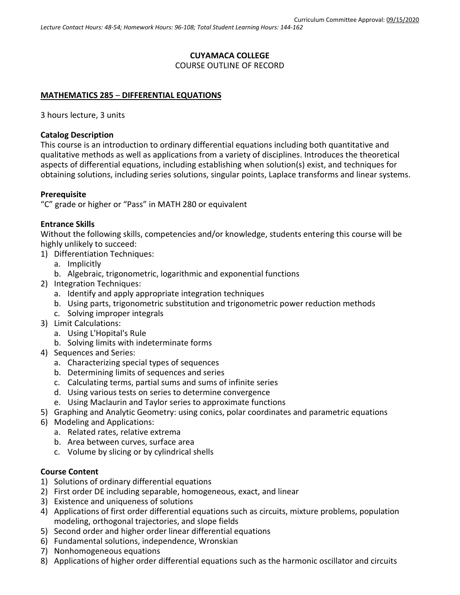# **CUYAMACA COLLEGE** COURSE OUTLINE OF RECORD

### **MATHEMATICS 285** – **DIFFERENTIAL EQUATIONS**

3 hours lecture, 3 units

#### **Catalog Description**

This course is an introduction to ordinary differential equations including both quantitative and qualitative methods as well as applications from a variety of disciplines. Introduces the theoretical aspects of differential equations, including establishing when solution(s) exist, and techniques for obtaining solutions, including series solutions, singular points, Laplace transforms and linear systems.

### **Prerequisite**

"C" grade or higher or "Pass" in MATH 280 or equivalent

#### **Entrance Skills**

Without the following skills, competencies and/or knowledge, students entering this course will be highly unlikely to succeed:

- 1) Differentiation Techniques:
	- a. Implicitly
	- b. Algebraic, trigonometric, logarithmic and exponential functions
- 2) Integration Techniques:
	- a. Identify and apply appropriate integration techniques
	- b. Using parts, trigonometric substitution and trigonometric power reduction methods
	- c. Solving improper integrals
- 3) Limit Calculations:
	- a. Using L'Hopital's Rule
	- b. Solving limits with indeterminate forms
- 4) Sequences and Series:
	- a. Characterizing special types of sequences
	- b. Determining limits of sequences and series
	- c. Calculating terms, partial sums and sums of infinite series
	- d. Using various tests on series to determine convergence
	- e. Using Maclaurin and Taylor series to approximate functions
- 5) Graphing and Analytic Geometry: using conics, polar coordinates and parametric equations
- 6) Modeling and Applications:
	- a. Related rates, relative extrema
	- b. Area between curves, surface area
	- c. Volume by slicing or by cylindrical shells

### **Course Content**

- 1) Solutions of ordinary differential equations
- 2) First order DE including separable, homogeneous, exact, and linear
- 3) Existence and uniqueness of solutions
- 4) Applications of first order differential equations such as circuits, mixture problems, population modeling, orthogonal trajectories, and slope fields
- 5) Second order and higher order linear differential equations
- 6) Fundamental solutions, independence, Wronskian
- 7) Nonhomogeneous equations
- 8) Applications of higher order differential equations such as the harmonic oscillator and circuits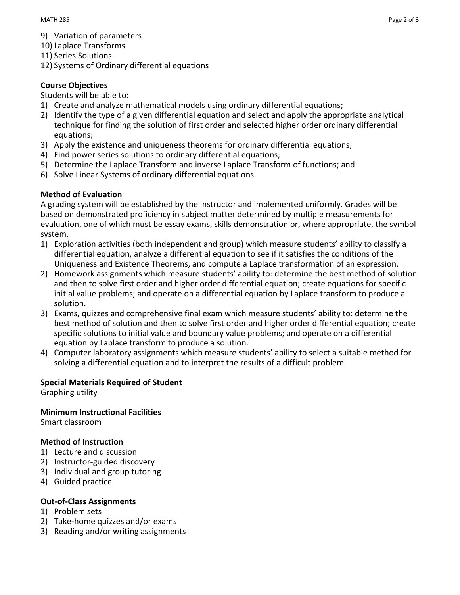- 9) Variation of parameters
- 10) Laplace Transforms
- 11) Series Solutions
- 12) Systems of Ordinary differential equations

# **Course Objectives**

## Students will be able to:

- 1) Create and analyze mathematical models using ordinary differential equations;
- 2) Identify the type of a given differential equation and select and apply the appropriate analytical technique for finding the solution of first order and selected higher order ordinary differential equations;
- 3) Apply the existence and uniqueness theorems for ordinary differential equations;
- 4) Find power series solutions to ordinary differential equations;
- 5) Determine the Laplace Transform and inverse Laplace Transform of functions; and
- 6) Solve Linear Systems of ordinary differential equations.

# **Method of Evaluation**

A grading system will be established by the instructor and implemented uniformly. Grades will be based on demonstrated proficiency in subject matter determined by multiple measurements for evaluation, one of which must be essay exams, skills demonstration or, where appropriate, the symbol system.

- 1) Exploration activities (both independent and group) which measure students' ability to classify a differential equation, analyze a differential equation to see if it satisfies the conditions of the Uniqueness and Existence Theorems, and compute a Laplace transformation of an expression.
- 2) Homework assignments which measure students' ability to: determine the best method of solution and then to solve first order and higher order differential equation; create equations for specific initial value problems; and operate on a differential equation by Laplace transform to produce a solution.
- 3) Exams, quizzes and comprehensive final exam which measure students' ability to: determine the best method of solution and then to solve first order and higher order differential equation; create specific solutions to initial value and boundary value problems; and operate on a differential equation by Laplace transform to produce a solution.
- 4) Computer laboratory assignments which measure students' ability to select a suitable method for solving a differential equation and to interpret the results of a difficult problem.

# **Special Materials Required of Student**

Graphing utility

**Minimum Instructional Facilities** Smart classroom

# **Method of Instruction**

- 1) Lecture and discussion
- 2) Instructor-guided discovery
- 3) Individual and group tutoring
- 4) Guided practice

# **Out-of-Class Assignments**

- 1) Problem sets
- 2) Take-home quizzes and/or exams
- 3) Reading and/or writing assignments